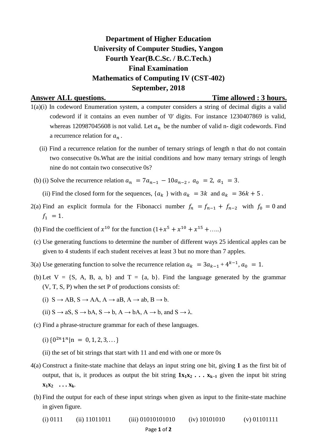## **Department of Higher Education University of Computer Studies, Yangon Fourth Year(B.C.Sc. / B.C.Tech.) Final Examination Mathematics of Computing IV (CST-402) September, 2018**

**Answer ALL questions. Time allowed : 3 hours.**

- 1(a)(i) In codeword Enumeration system, a computer considers a string of decimal digits a valid codeword if it contains an even number of '0' digits. For instance 1230407869 is valid, whereas 120987045608 is not valid. Let  $a_n$  be the number of valid n- digit codewords. Find a recurrence relation for  $a_n$ .
	- (ii) Find a recurrence relation for the number of ternary strings of length n that do not contain two consecutive 0s.What are the initial conditions and how many ternary strings of length nine do not contain two consecutive 0s?
	- (b) (i) Solve the recurrence relation  $a_n = 7a_{n-1} 10a_{n-2}$ ,  $a_0 = 2$ ,  $a_1 = 3$ .
		- (ii) Find the closed form for the sequences,  $\{a_k\}$  with  $a_k = 3k$  and  $a_k = 36k + 5$ .
- 2(a) Find an explicit formula for the Fibonacci number  $f_n = f_{n-1} + f_{n-2}$  with  $f_0 = 0$  and  $f_1 = 1.$
- (b) Find the coefficient of  $x^{10}$  for the function  $(1+x^5+x^{10}+x^{15}+\ldots)$
- (c) Use generating functions to determine the number of different ways 25 identical apples can be given to 4 students if each student receives at least 3 but no more than 7 apples.
- 3(a) Use generating function to solve the recurrence relation  $a_k = 3a_{k-1} + 4^{k-1}$ ,  $a_0 = 1$ .
- (b) Let  $V = \{S, A, B, a, b\}$  and  $T = \{a, b\}$ . Find the language generated by the grammar (V, T, S, P) when the set P of productions consists of:
	- (i)  $S \rightarrow AB$ ,  $S \rightarrow AA$ ,  $A \rightarrow aB$ ,  $A \rightarrow ab$ ,  $B \rightarrow b$ .
	- (ii)  $S \rightarrow aS$ ,  $S \rightarrow bA$ ,  $S \rightarrow b$ ,  $A \rightarrow bA$ ,  $A \rightarrow b$ , and  $S \rightarrow \lambda$ .
- (c) Find a phrase-structure grammar for each of these languages.
	- (i)  $\{0^{2n}1^n | n = 0, 1, 2, 3, \dots\}$
	- (ii) the set of bit strings that start with 11 and end with one or more 0s
- 4(a) Construct a finite-state machine that delays an input string one bit, giving **1** as the first bit of output, that is, it produces as output the bit string  $1x_1x_2 \ldots x_{k-1}$  given the input bit string  $\mathbf{x}_1 \mathbf{x}_2 \dots \mathbf{x}_k$
- (b) Find the output for each of these input strings when given as input to the finite-state machine in given figure.

(i) 0111 (ii) 11011011 (iii) 01010101010 (iv) 10101010 (v) 01101111